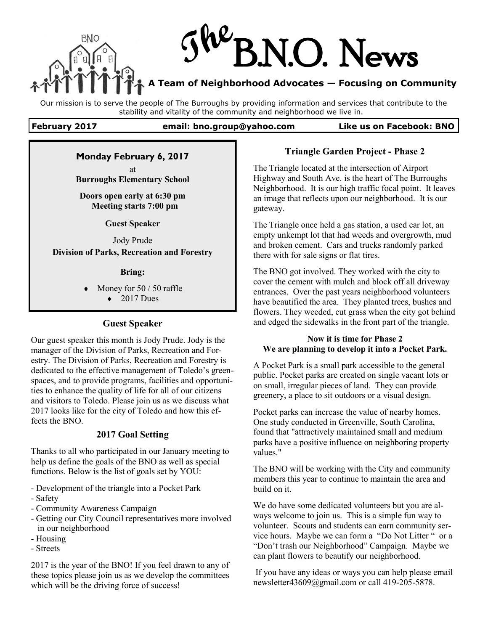

Our mission is to serve the people of The Burroughs by providing information and services that contribute to the stability and vitality of the community and neighborhood we live in.

### **February 2017 email: bno.group@yahoo.com Like us on Facebook: BNO**

# **Monday February 6, 2017**

at **Burroughs Elementary School** 

**Doors open early at 6:30 pm Meeting starts 7:00 pm**

**Guest Speaker**

Jody Prude **Division of Parks, Recreation and Forestry**

### **Bring:**

 Money for 50 / 50 raffle  $\triangleleft$  2017 Dues

### **Guest Speaker**

Our guest speaker this month is Jody Prude. Jody is the manager of the Division of Parks, Recreation and Forestry. The Division of Parks, Recreation and Forestry is dedicated to the effective management of Toledo's greenspaces, and to provide programs, facilities and opportunities to enhance the quality of life for all of our citizens and visitors to Toledo. Please join us as we discuss what 2017 looks like for the city of Toledo and how this effects the BNO.

## **2017 Goal Setting**

Thanks to all who participated in our January meeting to help us define the goals of the BNO as well as special functions. Below is the list of goals set by YOU:

- Development of the triangle into a Pocket Park
- Safety
- Community Awareness Campaign
- Getting our City Council representatives more involved in our neighborhood
- Housing
- Streets

2017 is the year of the BNO! If you feel drawn to any of these topics please join us as we develop the committees which will be the driving force of success!

### **Triangle Garden Project - Phase 2**

The Triangle located at the intersection of Airport Highway and South Ave. is the heart of The Burroughs Neighborhood. It is our high traffic focal point. It leaves an image that reflects upon our neighborhood. It is our gateway.

The Triangle once held a gas station, a used car lot, an empty unkempt lot that had weeds and overgrowth, mud and broken cement. Cars and trucks randomly parked there with for sale signs or flat tires.

The BNO got involved. They worked with the city to cover the cement with mulch and block off all driveway entrances. Over the past years neighborhood volunteers have beautified the area. They planted trees, bushes and flowers. They weeded, cut grass when the city got behind and edged the sidewalks in the front part of the triangle.

### **Now it is time for Phase 2 We are planning to develop it into a Pocket Park.**

A Pocket Park is a small park accessible to the general public. Pocket parks are created on single vacant lots or on small, irregular pieces of land. They can provide greenery, a place to sit outdoors or a visual design.

Pocket parks can increase the value of nearby homes. One study conducted in Greenville, South Carolina, found that "attractively maintained small and medium parks have a positive influence on neighboring property values."

The BNO will be working with the City and community members this year to continue to maintain the area and build on it.

We do have some dedicated volunteers but you are always welcome to join us. This is a simple fun way to volunteer. Scouts and students can earn community service hours. Maybe we can form a "Do Not Litter " or a "Don't trash our Neighborhood" Campaign. Maybe we can plant flowers to beautify our neighborhood.

If you have any ideas or ways you can help please email newsletter43609@gmail.com or call 419-205-5878.